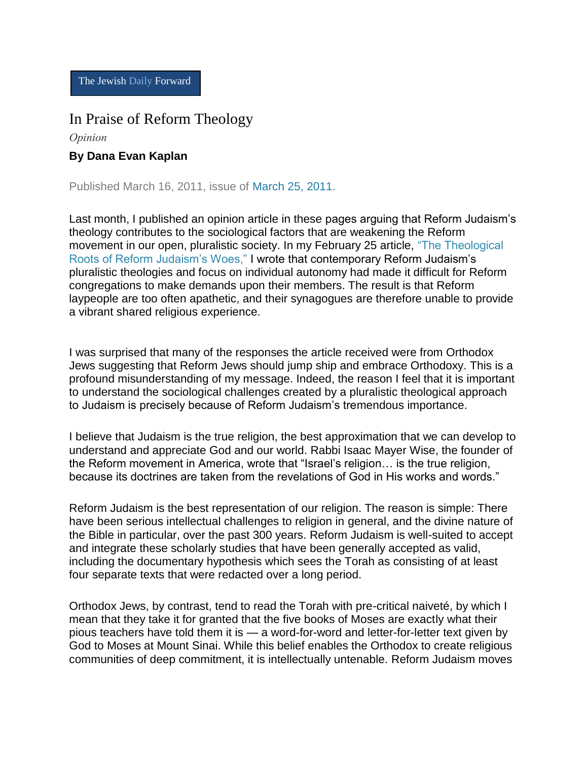The Jewish Daily Forward

## In Praise of Reform Theology

*Opinion*

## **By Dana Evan Kaplan**

Published March 16, 2011, issue of [March 25, 2011.](http://forward.com/issues/2011-03-25/)

Last month, I published an opinion article in these pages arguing that Reform Judaism's theology contributes to the sociological factors that are weakening the Reform movement in our open, pluralistic society. In my February 25 article, ["The Theological](http://www.forward.com/articles/135476/)  [Roots of Reform Judaism's Woes,"](http://www.forward.com/articles/135476/) I wrote that contemporary Reform Judaism's pluralistic theologies and focus on individual autonomy had made it difficult for Reform congregations to make demands upon their members. The result is that Reform laypeople are too often apathetic, and their synagogues are therefore unable to provide a vibrant shared religious experience.

I was surprised that many of the responses the article received were from Orthodox Jews suggesting that Reform Jews should jump ship and embrace Orthodoxy. This is a profound misunderstanding of my message. Indeed, the reason I feel that it is important to understand the sociological challenges created by a pluralistic theological approach to Judaism is precisely because of Reform Judaism's tremendous importance.

I believe that Judaism is the true religion, the best approximation that we can develop to understand and appreciate God and our world. Rabbi Isaac Mayer Wise, the founder of the Reform movement in America, wrote that "Israel's religion… is the true religion, because its doctrines are taken from the revelations of God in His works and words."

Reform Judaism is the best representation of our religion. The reason is simple: There have been serious intellectual challenges to religion in general, and the divine nature of the Bible in particular, over the past 300 years. Reform Judaism is well-suited to accept and integrate these scholarly studies that have been generally accepted as valid, including the documentary hypothesis which sees the Torah as consisting of at least four separate texts that were redacted over a long period.

Orthodox Jews, by contrast, tend to read the Torah with pre-critical naiveté, by which I mean that they take it for granted that the five books of Moses are exactly what their pious teachers have told them it is — a word-for-word and letter-for-letter text given by God to Moses at Mount Sinai. While this belief enables the Orthodox to create religious communities of deep commitment, it is intellectually untenable. Reform Judaism moves